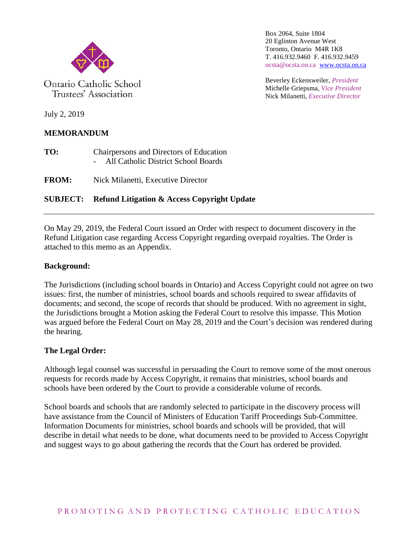

Ontario Catholic School Trustees' Association

Box 2064, Suite 1804 20 Eglinton Avenue West Toronto, Ontario M4R 1K8 T. 416.932.9460 F. 416.932.9459 ocsta@ocsta.on.ca [www.ocsta.on.ca](http://www.ocsta.on.ca/)

Beverley Eckensweiler, *President* Michelle Griepsma, *Vice President* Nick Milanetti, *Executive Director*

July 2, 2019

# **MEMORANDUM**

**TO:** Chairpersons and Directors of Education - All Catholic District School Boards

**FROM:** Nick Milanetti, Executive Director

# **SUBJECT: Refund Litigation & Access Copyright Update**

On May 29, 2019, the Federal Court issued an Order with respect to document discovery in the Refund Litigation case regarding Access Copyright regarding overpaid royalties. The Order is attached to this memo as an Appendix.

## **Background:**

The Jurisdictions (including school boards in Ontario) and Access Copyright could not agree on two issues: first, the number of ministries, school boards and schools required to swear affidavits of documents; and second, the scope of records that should be produced. With no agreement in sight, the Jurisdictions brought a Motion asking the Federal Court to resolve this impasse. This Motion was argued before the Federal Court on May 28, 2019 and the Court's decision was rendered during the hearing.

## **The Legal Order:**

Although legal counsel was successful in persuading the Court to remove some of the most onerous requests for records made by Access Copyright, it remains that ministries, school boards and schools have been ordered by the Court to provide a considerable volume of records.

School boards and schools that are randomly selected to participate in the discovery process will have assistance from the Council of Ministers of Education Tariff Proceedings Sub-Committee. Information Documents for ministries, school boards and schools will be provided, that will describe in detail what needs to be done, what documents need to be provided to Access Copyright and suggest ways to go about gathering the records that the Court has ordered be provided.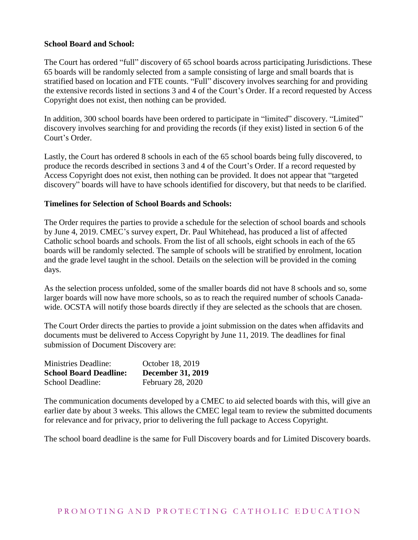#### **School Board and School:**

The Court has ordered "full" discovery of 65 school boards across participating Jurisdictions. These 65 boards will be randomly selected from a sample consisting of large and small boards that is stratified based on location and FTE counts. "Full" discovery involves searching for and providing the extensive records listed in sections 3 and 4 of the Court's Order. If a record requested by Access Copyright does not exist, then nothing can be provided.

In addition, 300 school boards have been ordered to participate in "limited" discovery. "Limited" discovery involves searching for and providing the records (if they exist) listed in section 6 of the Court's Order.

Lastly, the Court has ordered 8 schools in each of the 65 school boards being fully discovered, to produce the records described in sections 3 and 4 of the Court's Order. If a record requested by Access Copyright does not exist, then nothing can be provided. It does not appear that "targeted discovery" boards will have to have schools identified for discovery, but that needs to be clarified.

#### **Timelines for Selection of School Boards and Schools:**

The Order requires the parties to provide a schedule for the selection of school boards and schools by June 4, 2019. CMEC's survey expert, Dr. Paul Whitehead, has produced a list of affected Catholic school boards and schools. From the list of all schools, eight schools in each of the 65 boards will be randomly selected. The sample of schools will be stratified by enrolment, location and the grade level taught in the school. Details on the selection will be provided in the coming days.

As the selection process unfolded, some of the smaller boards did not have 8 schools and so, some larger boards will now have more schools, so as to reach the required number of schools Canadawide. OCSTA will notify those boards directly if they are selected as the schools that are chosen.

The Court Order directs the parties to provide a joint submission on the dates when affidavits and documents must be delivered to Access Copyright by June 11, 2019. The deadlines for final submission of Document Discovery are:

| <b>Ministries Deadline:</b>   | October 18, 2019         |
|-------------------------------|--------------------------|
| <b>School Board Deadline:</b> | <b>December 31, 2019</b> |
| School Deadline:              | February 28, 2020        |

The communication documents developed by a CMEC to aid selected boards with this, will give an earlier date by about 3 weeks. This allows the CMEC legal team to review the submitted documents for relevance and for privacy, prior to delivering the full package to Access Copyright.

The school board deadline is the same for Full Discovery boards and for Limited Discovery boards.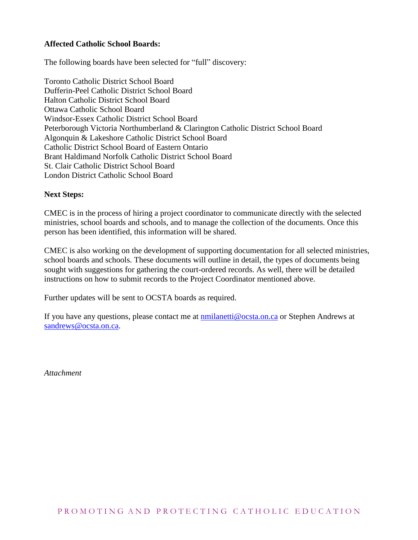#### **Affected Catholic School Boards:**

The following boards have been selected for "full" discovery:

Toronto Catholic District School Board Dufferin-Peel Catholic District School Board Halton Catholic District School Board Ottawa Catholic School Board Windsor-Essex Catholic District School Board Peterborough Victoria Northumberland & Clarington Catholic District School Board Algonquin & Lakeshore Catholic District School Board Catholic District School Board of Eastern Ontario Brant Haldimand Norfolk Catholic District School Board St. Clair Catholic District School Board London District Catholic School Board

#### **Next Steps:**

CMEC is in the process of hiring a project coordinator to communicate directly with the selected ministries, school boards and schools, and to manage the collection of the documents. Once this person has been identified, this information will be shared.

CMEC is also working on the development of supporting documentation for all selected ministries, school boards and schools. These documents will outline in detail, the types of documents being sought with suggestions for gathering the court-ordered records. As well, there will be detailed instructions on how to submit records to the Project Coordinator mentioned above.

Further updates will be sent to OCSTA boards as required.

If you have any questions, please contact me at [nmilanetti@ocsta.on.ca](mailto:nmilanetti@ocsta.on.ca) or Stephen Andrews at [sandrews@ocsta.on.ca.](mailto:sandrews@ocsta.on.ca)

*Attachment*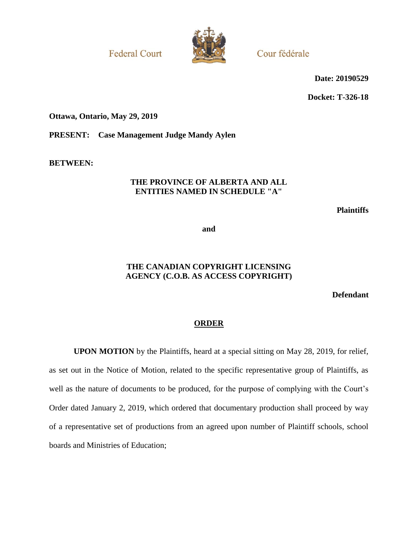**Federal Court** 



Cour fédérale

**Date: 20190529**

**Docket: T-326-18**

#### **Ottawa, Ontario, May 29, 2019**

**PRESENT: Case Management Judge Mandy Aylen**

**BETWEEN:**

#### **THE PROVINCE OF ALBERTA AND ALL ENTITIES NAMED IN SCHEDULE "A"**

**Plaintiffs**

**and**

### **THE CANADIAN COPYRIGHT LICENSING AGENCY (C.O.B. AS ACCESS COPYRIGHT)**

**Defendant**

#### **ORDER**

**UPON MOTION** by the Plaintiffs, heard at a special sitting on May 28, 2019, for relief, as set out in the Notice of Motion, related to the specific representative group of Plaintiffs, as well as the nature of documents to be produced, for the purpose of complying with the Court's Order dated January 2, 2019, which ordered that documentary production shall proceed by way of a representative set of productions from an agreed upon number of Plaintiff schools, school boards and Ministries of Education;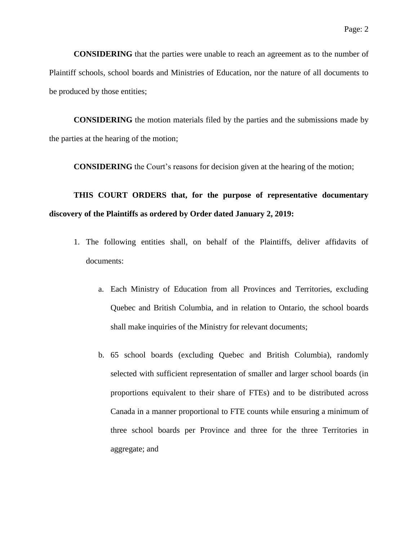**CONSIDERING** that the parties were unable to reach an agreement as to the number of Plaintiff schools, school boards and Ministries of Education, nor the nature of all documents to be produced by those entities;

**CONSIDERING** the motion materials filed by the parties and the submissions made by the parties at the hearing of the motion;

**CONSIDERING** the Court's reasons for decision given at the hearing of the motion;

# **THIS COURT ORDERS that, for the purpose of representative documentary discovery of the Plaintiffs as ordered by Order dated January 2, 2019:**

- 1. The following entities shall, on behalf of the Plaintiffs, deliver affidavits of documents:
	- a. Each Ministry of Education from all Provinces and Territories, excluding Quebec and British Columbia, and in relation to Ontario, the school boards shall make inquiries of the Ministry for relevant documents;
	- b. 65 school boards (excluding Quebec and British Columbia), randomly selected with sufficient representation of smaller and larger school boards (in proportions equivalent to their share of FTEs) and to be distributed across Canada in a manner proportional to FTE counts while ensuring a minimum of three school boards per Province and three for the three Territories in aggregate; and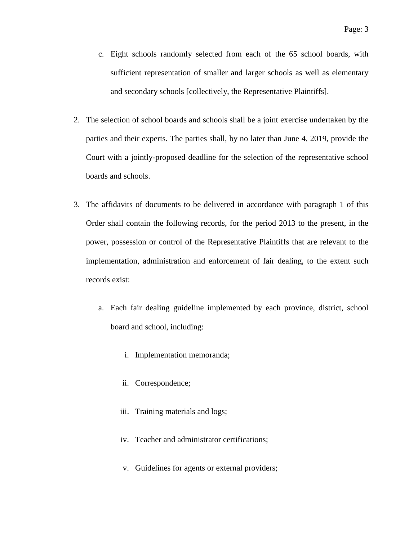- c. Eight schools randomly selected from each of the 65 school boards, with sufficient representation of smaller and larger schools as well as elementary and secondary schools [collectively, the Representative Plaintiffs].
- 2. The selection of school boards and schools shall be a joint exercise undertaken by the parties and their experts. The parties shall, by no later than June 4, 2019, provide the Court with a jointly-proposed deadline for the selection of the representative school boards and schools.
- 3. The affidavits of documents to be delivered in accordance with paragraph 1 of this Order shall contain the following records, for the period 2013 to the present, in the power, possession or control of the Representative Plaintiffs that are relevant to the implementation, administration and enforcement of fair dealing, to the extent such records exist:
	- a. Each fair dealing guideline implemented by each province, district, school board and school, including:
		- i. Implementation memoranda;
		- ii. Correspondence;
		- iii. Training materials and logs;
		- iv. Teacher and administrator certifications;
		- v. Guidelines for agents or external providers;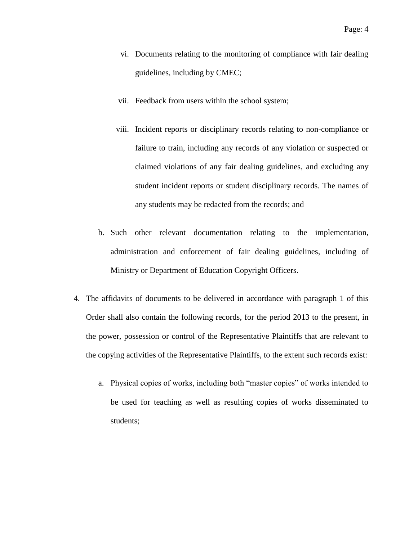- vi. Documents relating to the monitoring of compliance with fair dealing guidelines, including by CMEC;
- vii. Feedback from users within the school system;
- viii. Incident reports or disciplinary records relating to non-compliance or failure to train, including any records of any violation or suspected or claimed violations of any fair dealing guidelines, and excluding any student incident reports or student disciplinary records. The names of any students may be redacted from the records; and
- b. Such other relevant documentation relating to the implementation, administration and enforcement of fair dealing guidelines, including of Ministry or Department of Education Copyright Officers.
- 4. The affidavits of documents to be delivered in accordance with paragraph 1 of this Order shall also contain the following records, for the period 2013 to the present, in the power, possession or control of the Representative Plaintiffs that are relevant to the copying activities of the Representative Plaintiffs, to the extent such records exist:
	- a. Physical copies of works, including both "master copies" of works intended to be used for teaching as well as resulting copies of works disseminated to students;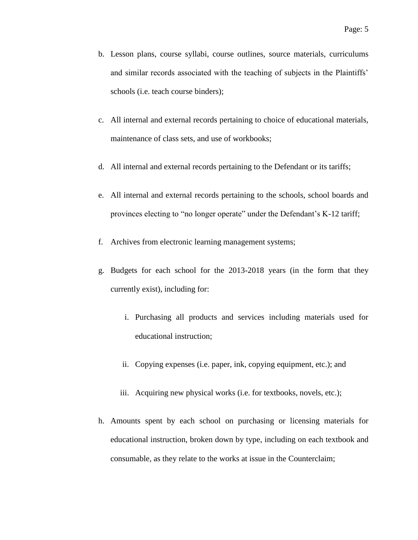- b. Lesson plans, course syllabi, course outlines, source materials, curriculums and similar records associated with the teaching of subjects in the Plaintiffs' schools (i.e. teach course binders);
- c. All internal and external records pertaining to choice of educational materials, maintenance of class sets, and use of workbooks;
- d. All internal and external records pertaining to the Defendant or its tariffs;
- e. All internal and external records pertaining to the schools, school boards and provinces electing to "no longer operate" under the Defendant's K-12 tariff;
- f. Archives from electronic learning management systems;
- g. Budgets for each school for the 2013-2018 years (in the form that they currently exist), including for:
	- i. Purchasing all products and services including materials used for educational instruction;
	- ii. Copying expenses (i.e. paper, ink, copying equipment, etc.); and
	- iii. Acquiring new physical works (i.e. for textbooks, novels, etc.);
- h. Amounts spent by each school on purchasing or licensing materials for educational instruction, broken down by type, including on each textbook and consumable, as they relate to the works at issue in the Counterclaim;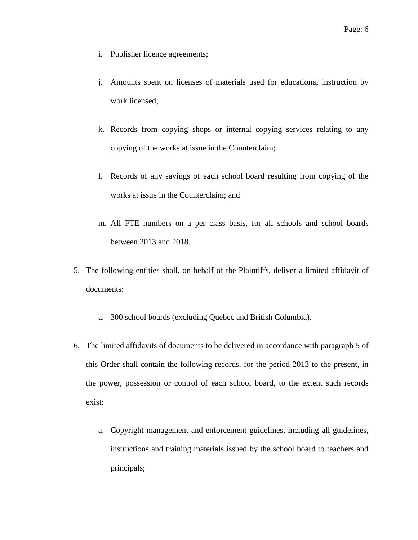- i. Publisher licence agreements;
- j. Amounts spent on licenses of materials used for educational instruction by work licensed;
- k. Records from copying shops or internal copying services relating to any copying of the works at issue in the Counterclaim;
- l. Records of any savings of each school board resulting from copying of the works at issue in the Counterclaim; and
- m. All FTE numbers on a per class basis, for all schools and school boards between 2013 and 2018.
- 5. The following entities shall, on behalf of the Plaintiffs, deliver a limited affidavit of documents:
	- a. 300 school boards (excluding Quebec and British Columbia).
- 6. The limited affidavits of documents to be delivered in accordance with paragraph 5 of this Order shall contain the following records, for the period 2013 to the present, in the power, possession or control of each school board, to the extent such records exist:
	- a. Copyright management and enforcement guidelines, including all guidelines, instructions and training materials issued by the school board to teachers and principals;